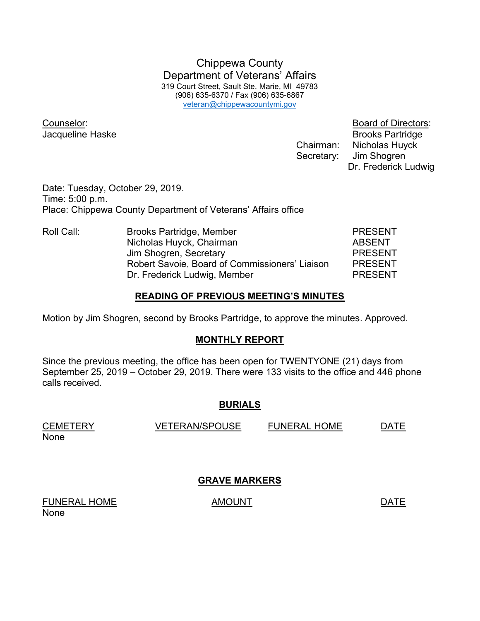Chippewa County Department of Veterans' Affairs 319 Court Street, Sault Ste. Marie, MI 49783 (906) 635-6370 / Fax (906) 635-6867 veteran@chippewacountymi.gov

Counselor: Board of Directors:

**Jacqueline Haske** Brooks Partridge Chairman: Nicholas Huyck Secretary: Jim Shogren Dr. Frederick Ludwig

Date: Tuesday, October 29, 2019. Time: 5:00 p.m. Place: Chippewa County Department of Veterans' Affairs office

Roll Call: Brooks Partridge, Member PRESENT Nicholas Huyck, Chairman **ABSENT** Jim Shogren, Secretary **PRESENT**  Robert Savoie, Board of Commissioners' Liaison PRESENT Dr. Frederick Ludwig, Member PRESENT

### READING OF PREVIOUS MEETING'S MINUTES

Motion by Jim Shogren, second by Brooks Partridge, to approve the minutes. Approved.

## MONTHLY REPORT

Since the previous meeting, the office has been open for TWENTYONE (21) days from September 25, 2019 – October 29, 2019. There were 133 visits to the office and 446 phone calls received.

### BURIALS

CEMETERY VETERAN/SPOUSE FUNERAL HOME DATE None

## GRAVE MARKERS

FUNERAL HOME AMOUNT AMOUNT None